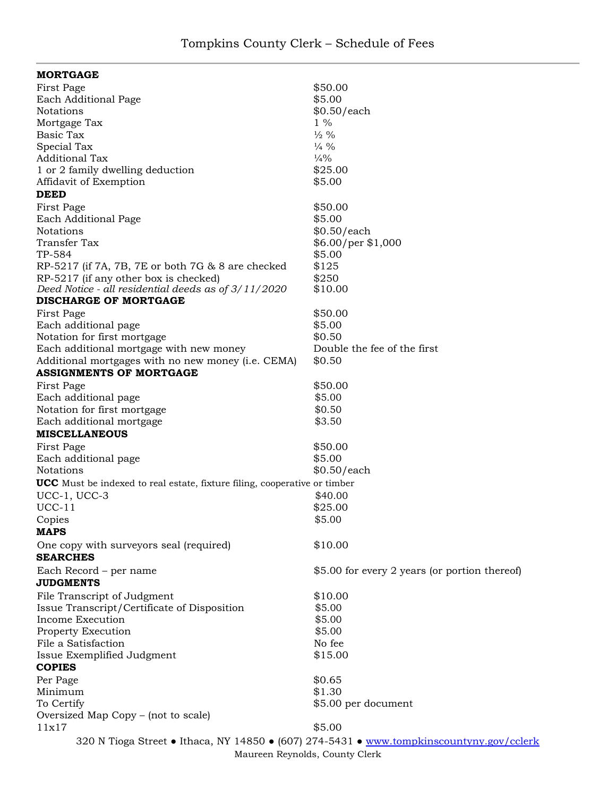| <b>MORTGAGE</b>                                                                          |                                               |
|------------------------------------------------------------------------------------------|-----------------------------------------------|
| First Page                                                                               | \$50.00                                       |
| Each Additional Page                                                                     | \$5.00                                        |
| Notations                                                                                | \$0.50/each                                   |
| Mortgage Tax                                                                             | $1\%$                                         |
| Basic Tax                                                                                | $\frac{1}{2}$ %                               |
| Special Tax                                                                              | $\frac{1}{4}$ %                               |
| <b>Additional Tax</b>                                                                    | $\frac{1}{4}\%$                               |
| 1 or 2 family dwelling deduction                                                         | \$25.00                                       |
| Affidavit of Exemption                                                                   | \$5.00                                        |
| <b>DEED</b>                                                                              |                                               |
| First Page                                                                               | \$50.00                                       |
| Each Additional Page                                                                     | \$5.00                                        |
| Notations                                                                                | \$0.50/each                                   |
| Transfer Tax                                                                             | \$6.00/per \$1,000                            |
| TP-584                                                                                   | \$5.00                                        |
| RP-5217 (if 7A, 7B, 7E or both 7G & 8 are checked                                        | \$125                                         |
| RP-5217 (if any other box is checked)                                                    | \$250                                         |
| Deed Notice - all residential deeds as of 3/11/2020                                      | \$10.00                                       |
| <b>DISCHARGE OF MORTGAGE</b>                                                             |                                               |
| First Page                                                                               | \$50.00                                       |
| Each additional page                                                                     | \$5.00                                        |
| Notation for first mortgage                                                              | \$0.50                                        |
| Each additional mortgage with new money                                                  | Double the fee of the first                   |
| Additional mortgages with no new money (i.e. CEMA)                                       | \$0.50                                        |
| <b>ASSIGNMENTS OF MORTGAGE</b>                                                           |                                               |
| First Page                                                                               | \$50.00                                       |
| Each additional page                                                                     | \$5.00                                        |
| Notation for first mortgage                                                              | \$0.50                                        |
| Each additional mortgage                                                                 | \$3.50                                        |
| <b>MISCELLANEOUS</b>                                                                     |                                               |
| First Page                                                                               | \$50.00                                       |
| Each additional page                                                                     | \$5.00                                        |
| Notations                                                                                | \$0.50/each                                   |
| <b>UCC</b> Must be indexed to real estate, fixture filing, cooperative or timber         |                                               |
| $UCC-1$ , $UCC-3$                                                                        | \$40.00                                       |
| $UCC-11$                                                                                 | \$25.00                                       |
|                                                                                          | \$5.00                                        |
| Copies<br><b>MAPS</b>                                                                    |                                               |
|                                                                                          |                                               |
| One copy with surveyors seal (required)<br><b>SEARCHES</b>                               | \$10.00                                       |
| Each Record - per name                                                                   | \$5.00 for every 2 years (or portion thereof) |
| <b>JUDGMENTS</b>                                                                         |                                               |
| File Transcript of Judgment                                                              | \$10.00                                       |
| Issue Transcript/Certificate of Disposition                                              | \$5.00                                        |
| Income Execution                                                                         | \$5.00                                        |
| Property Execution                                                                       | \$5.00                                        |
| File a Satisfaction                                                                      | No fee                                        |
| Issue Exemplified Judgment                                                               | \$15.00                                       |
| <b>COPIES</b>                                                                            |                                               |
| Per Page                                                                                 | \$0.65                                        |
| Minimum                                                                                  | \$1.30                                        |
| To Certify                                                                               | \$5.00 per document                           |
| Oversized Map Copy – (not to scale)                                                      |                                               |
| 11x17                                                                                    | \$5.00                                        |
| 320 N Tioga Street • Ithaca, NY 14850 • (607) 274-5431 • www.tompkinscountyny.gov/cclerk |                                               |

Maureen Reynolds, County Clerk